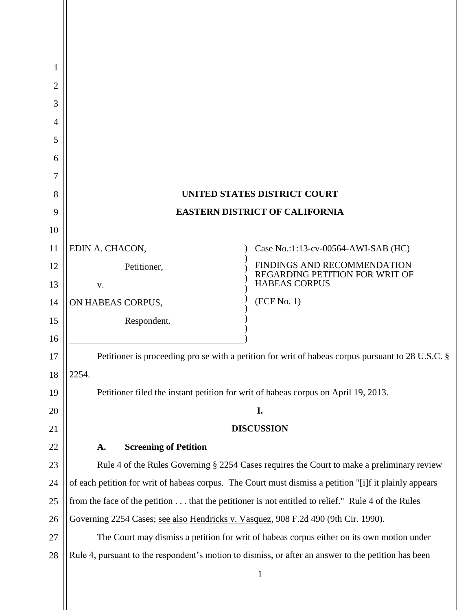| 1      |                                                                                                        |                                                        |
|--------|--------------------------------------------------------------------------------------------------------|--------------------------------------------------------|
| 2      |                                                                                                        |                                                        |
| 3      |                                                                                                        |                                                        |
| 4      |                                                                                                        |                                                        |
| 5      |                                                                                                        |                                                        |
| 6<br>7 |                                                                                                        |                                                        |
| 8      |                                                                                                        | UNITED STATES DISTRICT COURT                           |
| 9      | <b>EASTERN DISTRICT OF CALIFORNIA</b>                                                                  |                                                        |
| 10     |                                                                                                        |                                                        |
| 11     | EDIN A. CHACON,                                                                                        | Case No.:1:13-cv-00564-AWI-SAB (HC)                    |
| 12     | Petitioner,                                                                                            | FINDINGS AND RECOMMENDATION                            |
| 13     | V.                                                                                                     | REGARDING PETITION FOR WRIT OF<br><b>HABEAS CORPUS</b> |
| 14     | ON HABEAS CORPUS,                                                                                      | (ECF No. 1)                                            |
| 15     | Respondent.                                                                                            |                                                        |
| 16     |                                                                                                        |                                                        |
| 17     | Petitioner is proceeding pro se with a petition for writ of habeas corpus pursuant to 28 U.S.C. §      |                                                        |
| 18     | 2254.                                                                                                  |                                                        |
| 19     | Petitioner filed the instant petition for writ of habeas corpus on April 19, 2013.                     |                                                        |
| 20     | I.                                                                                                     |                                                        |
| 21     | <b>DISCUSSION</b>                                                                                      |                                                        |
| 22     | <b>Screening of Petition</b><br>A.                                                                     |                                                        |
| 23     | Rule 4 of the Rules Governing § 2254 Cases requires the Court to make a preliminary review             |                                                        |
| 24     | of each petition for writ of habeas corpus. The Court must dismiss a petition "[i]f it plainly appears |                                                        |
| 25     | from the face of the petition that the petitioner is not entitled to relief." Rule 4 of the Rules      |                                                        |
| 26     | Governing 2254 Cases; see also Hendricks v. Vasquez, 908 F.2d 490 (9th Cir. 1990).                     |                                                        |
| 27     | The Court may dismiss a petition for writ of habeas corpus either on its own motion under              |                                                        |
| 28     | Rule 4, pursuant to the respondent's motion to dismiss, or after an answer to the petition has been    |                                                        |
|        |                                                                                                        | $\mathbf{1}$                                           |

 $\mathsf{I}$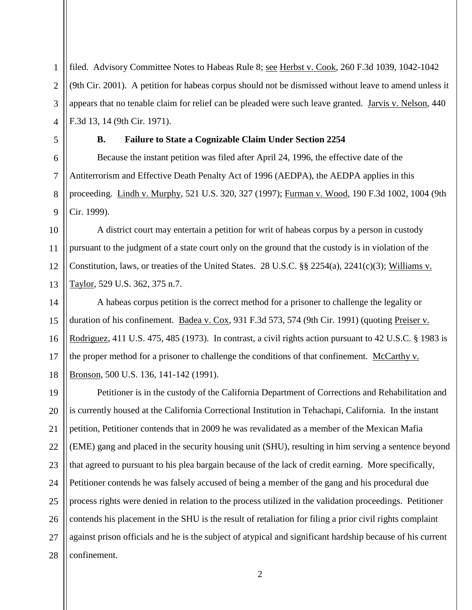filed. Advisory Committee Notes to Habeas Rule 8; see Herbst v. Cook, 260 F.3d 1039, 1042-1042 (9th Cir. 2001). A petition for habeas corpus should not be dismissed without leave to amend unless it appears that no tenable claim for relief can be pleaded were such leave granted. Jarvis v. Nelson, 440 F.3d 13, 14 (9th Cir. 1971).

1

2

3

4

5

6

7

8

9

## **B. Failure to State a Cognizable Claim Under Section 2254**

Because the instant petition was filed after April 24, 1996, the effective date of the Antiterrorism and Effective Death Penalty Act of 1996 (AEDPA), the AEDPA applies in this proceeding. Lindh v. Murphy, 521 U.S. 320, 327 (1997); Furman v. Wood, 190 F.3d 1002, 1004 (9th Cir. 1999).

10 11 12 13 A district court may entertain a petition for writ of habeas corpus by a person in custody pursuant to the judgment of a state court only on the ground that the custody is in violation of the Constitution, laws, or treaties of the United States. 28 U.S.C. §§ 2254(a), 2241(c)(3); Williams v. Taylor, 529 U.S. 362, 375 n.7.

14 15 16 17 18 A habeas corpus petition is the correct method for a prisoner to challenge the legality or duration of his confinement. Badea v. Cox, 931 F.3d 573, 574 (9th Cir. 1991) (quoting Preiser v. Rodriguez, 411 U.S. 475, 485 (1973). In contrast, a civil rights action pursuant to 42 U.S.C. § 1983 is the proper method for a prisoner to challenge the conditions of that confinement. McCarthy v. Bronson, 500 U.S. 136, 141-142 (1991).

19 20 21 22 23 24 25 26 27 28 Petitioner is in the custody of the California Department of Corrections and Rehabilitation and is currently housed at the California Correctional Institution in Tehachapi, California. In the instant petition, Petitioner contends that in 2009 he was revalidated as a member of the Mexican Mafia (EME) gang and placed in the security housing unit (SHU), resulting in him serving a sentence beyond that agreed to pursuant to his plea bargain because of the lack of credit earning. More specifically, Petitioner contends he was falsely accused of being a member of the gang and his procedural due process rights were denied in relation to the process utilized in the validation proceedings. Petitioner contends his placement in the SHU is the result of retaliation for filing a prior civil rights complaint against prison officials and he is the subject of atypical and significant hardship because of his current confinement.

2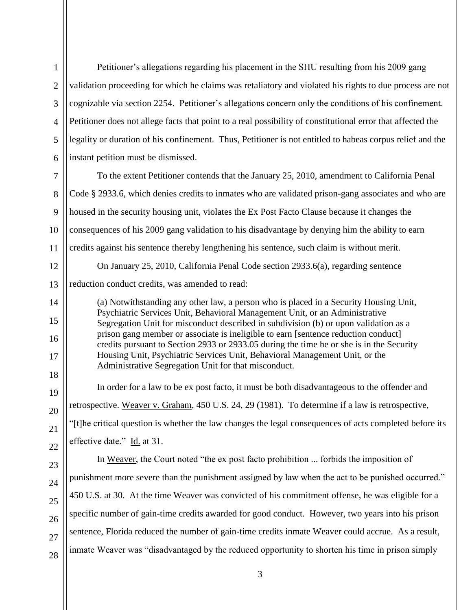1 2 3 4 5 6 7 8 9 10 11 12 13 14 15 16 17 18 19 20 21 22 23 24 25 26 27 28 Petitioner's allegations regarding his placement in the SHU resulting from his 2009 gang validation proceeding for which he claims was retaliatory and violated his rights to due process are not cognizable via section 2254. Petitioner's allegations concern only the conditions of his confinement. Petitioner does not allege facts that point to a real possibility of constitutional error that affected the legality or duration of his confinement. Thus, Petitioner is not entitled to habeas corpus relief and the instant petition must be dismissed. To the extent Petitioner contends that the January 25, 2010, amendment to California Penal Code § 2933.6, which denies credits to inmates who are validated prison-gang associates and who are housed in the security housing unit, violates the Ex Post Facto Clause because it changes the consequences of his 2009 gang validation to his disadvantage by denying him the ability to earn credits against his sentence thereby lengthening his sentence, such claim is without merit. On January 25, 2010, California Penal Code section 2933.6(a), regarding sentence reduction conduct credits, was amended to read: (a) Notwithstanding any other law, a person who is placed in a Security Housing Unit, Psychiatric Services Unit, Behavioral Management Unit, or an Administrative Segregation Unit for misconduct described in subdivision (b) or upon validation as a prison gang member or associate is ineligible to earn [sentence reduction conduct] credits pursuant to Section 2933 or 2933.05 during the time he or she is in the Security Housing Unit, Psychiatric Services Unit, Behavioral Management Unit, or the Administrative Segregation Unit for that misconduct. In order for a law to be ex post facto, it must be both disadvantageous to the offender and retrospective. Weaver v. Graham, 450 U.S. 24, 29 (1981). To determine if a law is retrospective, "[t]he critical question is whether the law changes the legal consequences of acts completed before its effective date." Id. at 31. In Weaver, the Court noted "the ex post facto prohibition ... forbids the imposition of punishment more severe than the punishment assigned by law when the act to be punished occurred." 450 U.S. at 30. At the time Weaver was convicted of his commitment offense, he was eligible for a specific number of gain-time credits awarded for good conduct. However, two years into his prison sentence, Florida reduced the number of gain-time credits inmate Weaver could accrue. As a result, inmate Weaver was "disadvantaged by the reduced opportunity to shorten his time in prison simply

3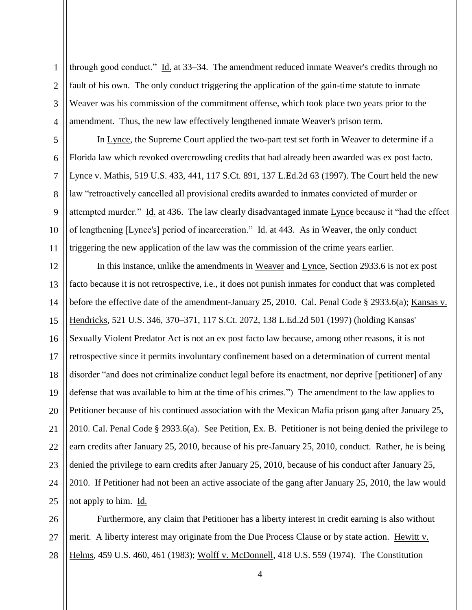1 2 3 4 through good conduct." Id. at 33–34. The amendment reduced inmate Weaver's credits through no fault of his own. The only conduct triggering the application of the gain-time statute to inmate Weaver was his commission of the commitment offense, which took place two years prior to the amendment. Thus, the new law effectively lengthened inmate Weaver's prison term.

In Lynce, the Supreme Court applied the two-part test set forth in Weaver to determine if a Florida law which revoked overcrowding credits that had already been awarded was ex post facto. Lynce v. Mathis, 519 U.S. 433, 441, 117 S.Ct. 891, 137 L.Ed.2d 63 (1997). The Court held the new law "retroactively cancelled all provisional credits awarded to inmates convicted of murder or attempted murder." Id. at 436. The law clearly disadvantaged inmate Lynce because it "had the effect of lengthening [Lynce's] period of incarceration." Id. at 443. As in Weaver, the only conduct triggering the new application of the law was the commission of the crime years earlier.

12 13 14 15 16 17 18 19 20 21 22 23 24 25 In this instance, unlike the amendments in Weaver and Lynce, Section 2933.6 is not ex post facto because it is not retrospective, i.e., it does not punish inmates for conduct that was completed before the effective date of the amendment-January 25, 2010. Cal. Penal Code § 2933.6(a); Kansas v. Hendricks, 521 U.S. 346, 370–371, 117 S.Ct. 2072, 138 L.Ed.2d 501 (1997) (holding Kansas' Sexually Violent Predator Act is not an ex post facto law because, among other reasons, it is not retrospective since it permits involuntary confinement based on a determination of current mental disorder "and does not criminalize conduct legal before its enactment, nor deprive [petitioner] of any defense that was available to him at the time of his crimes.") The amendment to the law applies to Petitioner because of his continued association with the Mexican Mafia prison gang after January 25, 2010. Cal. Penal Code § 2933.6(a). See Petition, Ex. B. Petitioner is not being denied the privilege to earn credits after January 25, 2010, because of his pre-January 25, 2010, conduct. Rather, he is being denied the privilege to earn credits after January 25, 2010, because of his conduct after January 25, 2010. If Petitioner had not been an active associate of the gang after January 25, 2010, the law would not apply to him. Id.

26 27 28 Furthermore, any claim that Petitioner has a liberty interest in credit earning is also without merit. A liberty interest may originate from the Due Process Clause or by state action. Hewitt v. Helms, 459 U.S. 460, 461 (1983); Wolff v. McDonnell, 418 U.S. 559 (1974). The Constitution

5

6

7

8

9

10

11